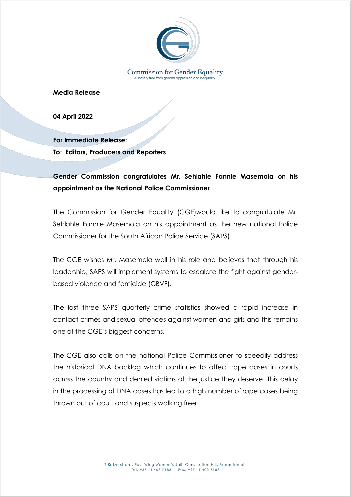

**Media Release**

**04 April 2022**

**For Immediate Release: To: Editors, Producers and Reporters**

## **Gender Commission congratulates Mr. Sehlahle Fannie Masemola on his appointment as the National Police Commissioner**

The Commission for Gender Equality (CGE)would like to congratulate Mr. Sehlahle Fannie Masemola on his appointment as the new national Police Commissioner for the South African Police Service (SAPS).

The CGE wishes Mr. Masemola well in his role and believes that through his leadership, SAPS will implement systems to escalate the fight against genderbased violence and femicide (GBVF).

The last three SAPS quarterly crime statistics showed a rapid increase in contact crimes and sexual offences against women and girls and this remains one of the CGE's biggest concerns.

The CGE also calls on the national Police Commissioner to speedily address the historical DNA backlog which continues to affect rape cases in courts across the country and denied victims of the justice they deserve. This delay in the processing of DNA cases has led to a high number of rape cases being thrown out of court and suspects walking free.